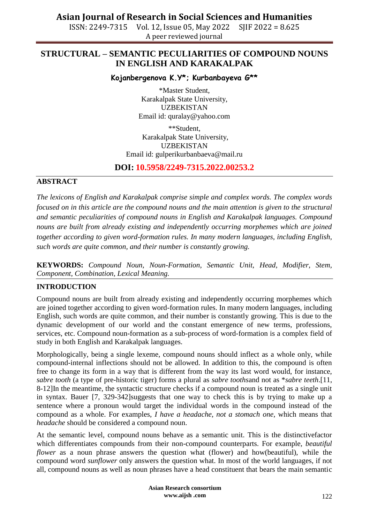ISSN: 2249-7315 Vol. 12, Issue 05, May 2022 SJIF 2022 = 8.625 A peer reviewed journal

### **STRUCTURAL – SEMANTIC PECULIARITIES OF COMPOUND NOUNS IN ENGLISH AND KARAKALPAK**

#### **Kojanbergenova K.Y\*; Kurbanbayeva G\*\***

\*Master Student, Karakalpak State University, UZBEKISTAN Email id: quralay@yahoo.com

\*\*Student, Karakalpak State University, UZBEKISTAN Email id: [gulperikurbanbaeva@mail.ru](mailto:gulperikurbanbaeva@mail.ru)

### **DOI: 10.5958/2249-7315.2022.00253.2**

#### **ABSTRACT**

*The lexicons of English and Karakalpak comprise simple and complex words. The complex words focused on in this article are the compound nouns and the main attention is given to the structural and semantic peculiarities of compound nouns in English and Karakalpak languages. Compound nouns are built from already existing and independently occurring morphemes which are joined together according to given word-formation rules. In many modern languages, including English, such words are quite common, and their number is constantly growing.*

**KEYWORDS:** *Compound Noun, Noun-Formation, Semantic Unit, Head, Modifier, Stem, Component, Combination, Lexical Meaning.*

#### **INTRODUCTION**

Compound nouns are built from already existing and independently occurring morphemes which are joined together according to given word-formation rules. In many modern languages, including English, such words are quite common, and their number is constantly growing. This is due to the dynamic development of our world and the constant emergence of new terms, professions, services, etc. Compound noun-formation as a sub-process of word-formation is a complex field of study in both English and Karakalpak languages.

Morphologically, being a single lexeme, compound nouns should inflect as a whole only, while compound-internal inflections should not be allowed. In addition to this, the compound is often free to change its form in a way that is different from the way its last word would, for instance, *sabre tooth* (a type of pre-historic tiger) forms a plural as *sabre tooths*and not as \**sabre teeth*.[11, 8-12]In the meantime, the syntactic structure checks if a compound noun is treated as a single unit in syntax. Bauer [7, 329-342]suggests that one way to check this is by trying to make up a sentence where a pronoun would target the individual words in the compound instead of the compound as a whole. For examples, *I have a headache*, *not a stomach one*, which means that *headache* should be considered a compound noun.

At the semantic level, compound nouns behave as a semantic unit. This is the distinctivefactor which differentiates compounds from their non-compound counterparts. For example, *beautiful flower* as a noun phrase answers the question what (flower) and how(beautiful), while the compound word *sunflower* only answers the question what. In most of the world languages, if not all, compound nouns as well as noun phrases have a head constituent that bears the main semantic

> **Asian Research consortium www.aijsh .com**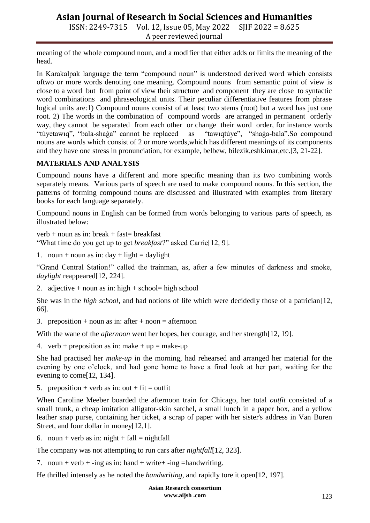ISSN: 2249-7315 Vol. 12, Issue 05, May 2022 SJIF 2022 = 8.625 A peer reviewed journal

meaning of the whole compound noun, and a modifier that either adds or limits the meaning of the head.

In Karakalpak language the term "compound noun" is understood derived word which consists oftwo or more words denoting one meaning. Compound nouns from semantic point of view is close to a word but from point of view their structure and component they are close to syntactic word combinations and phraseological units. Their peculiar differentiative features from phrase logical units are:1) Compound nouns consist of at least two stems (root) but a word has just one root. 2) The words in the combination of compound words are arranged in permanent orderly way, they cannot be separated from each other or change their word order, for instance words "túyetawıq", "bala-shaga" cannot be replaced as "tawıqtúye", "shaga-bala".So compound nouns are words which consist of 2 or more words,which has different meanings of its components and they have one stress in pronunciation, for example, belbew, bilezik,eshkimar,etc.[3, 21-22].

#### **MATERIALS AND ANALYSIS**

Compound nouns have a different and more specific meaning than its two combining words separately means. Various parts of speech are used to make compound nouns. In this section, the patterns of forming compound nouns are discussed and illustrated with examples from literary books for each language separately.

Compound nouns in English can be formed from words belonging to various parts of speech, as illustrated below:

 $verb + noun as in: break + fast= breakfast$ 

―What time do you get up to get *breakfast*?‖ asked Carrie[12, 9].

1. noun + noun as in:  $day + light = daylight$ 

"Grand Central Station!" called the trainman, as, after a few minutes of darkness and smoke, *daylight* reappeared[12, 224].

2. adjective + noun as in: high + school= high school

She was in the *high school*, and had notions of life which were decidedly those of a patrician[12, 66].

3. preposition + noun as in: after + noon = afternoon

With the wane of the *afternoon* went her hopes, her courage, and her strength[12, 19].

4. verb + preposition as in: make + up = make-up

She had practised her *make-up* in the morning, had rehearsed and arranged her material for the evening by one o'clock, and had gone home to have a final look at her part, waiting for the evening to come[12, 134].

5. preposition + verb as in: out + fit = outfit

When Caroline Meeber boarded the afternoon train for Chicago, her total *outfit* consisted of a small trunk, a cheap imitation alligator-skin satchel, a small lunch in a paper box, and a yellow leather snap purse, containing her ticket, a scrap of paper with her sister's address in Van Buren Street, and four dollar in money[12,1].

6. noun + verb as in: night + fall = nightfall

The company was not attempting to run cars after *nightfall*[12, 323].

7. noun + verb + -ing as in: hand + write + -ing = handwriting.

He thrilled intensely as he noted the *handwriting*, and rapidly tore it open[12, 197].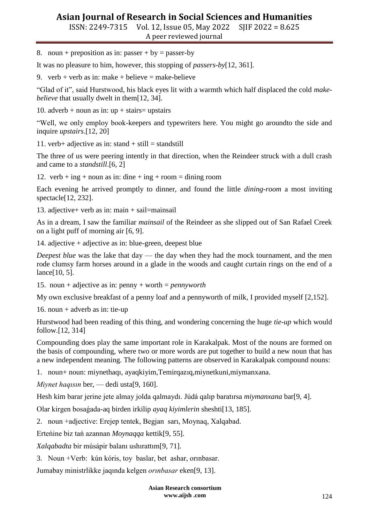ISSN: 2249-7315 Vol. 12, Issue 05, May 2022 SJIF 2022 = 8.625 A peer reviewed journal

8. noun + preposition as in: passer + by = passer-by

It was no pleasure to him, however, this stopping of *passers-by*[12, 361].

9. verb + verb as in: make + believe = make-believe

―Glad of it‖, said Hurstwood, his black eyes lit with a warmth which half displaced the cold *makebelieve* that usually dwelt in them[12, 34].

10. adverb + noun as in:  $up + \text{stairs}$  = upstairs

―Well, we only employ book-keepers and typewriters here. You might go aroundto the side and inquire *upstairs*.[12, 20]

11. verb+ adjective as in: stand + still = standstill

The three of us were peering intently in that direction, when the Reindeer struck with a dull crash and came to a *standstill*.[6, 2]

12. verb + ing + noun as in: dine + ing + room = dining room

Each evening he arrived promptly to dinner, and found the little *dining-room* a most inviting spectacle[12, 232].

13. adjective+ verb as in: main + sail=mainsail

As in a dream, I saw the familiar *mainsail* of the Reindeer as she slipped out of San Rafael Creek on a light puff of morning air [6, 9].

14. adjective + adjective as in: blue-green, deepest blue

*Deepest blue* was the lake that day — the day when they had the mock tournament, and the men rode clumsy farm horses around in a glade in the woods and caught curtain rings on the end of a lance[10, 5].

15. noun + adjective as in: penny + worth = *pennyworth*

My own exclusive breakfast of a penny loaf and a pennyworth of milk, I provided myself [2,152].

16. noun + adverb as in: tie-up

Hurstwood had been reading of this thing, and wondering concerning the huge *tie-up* which would follow.[12, 314]

Compounding does play the same important role in Karakalpak. Most of the nouns are formed on the basis of compounding, where two or more words are put together to build a new noun that has a new independent meaning. The following patterns are observed in Karakalpak compound nouns:

1. noun+ noun: miynethaqı, ayaqkiyim,Temirqazıq,miynetkuni,miymanxana.

*Miynet haqısın* ber, — dedi usta[9, 160].

Hesh kim barar jerine jete almay jolda qalmaydı. Júdá qalıp baratırsa *miymanxana* bar[9, 4].

Olar kirgen bosaǵada-aq birden irkilip *ayaq kiyimlerin* sheshti[13, 185].

2. noun +adjective: Erejep tentek, Begjan sarı, Moynaq, Xalqabad.

Erteńine biz tań azannan *Moynaqqa* kettik[9, 55].

*Xalqabadta* bir músápir balanı ushırattım[9, 71].

3. Noun +Verb: kún kóris, toy baslar, bet ashar, orınbasar.

Jumabay ministrlikke jaqında kelgen *orınbasar* eken[9, 13].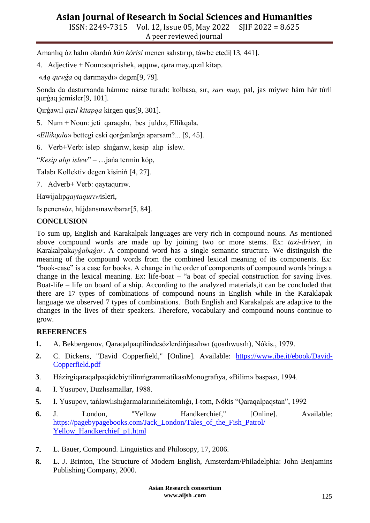ISSN: 2249-7315 Vol. 12, Issue 05, May 2022 SJIF 2022 = 8.625 A peer reviewed journal

Amanlıq óz halın olardıń *kún kórisi* menen salıstırıp, táwbe etedi[13, 441].

4. Adjective + Noun:soqırishek, aqquw, qara may,qızıl kitap.

«*Aq quwǵa* oq darımaydı» degen[9, 79].

Sonda da dasturxanda hámme nárse turadı: kolbasa, sır, *sarı may*, pal, jas miywe hám hár túrli qurǵaq jemisler[9, 101].

Qırǵawıl *qızıl kitapqa* kirgen qus[9, 301].

5. Num + Noun: jeti qaraqshı, bes juldız, Ellikqala.

«*Ellikqala*» bettegi eski qorǵanlarǵa aparsam?... [9, 45].

6. Verb+Verb: islep shıǵarıw, kesip alıp islew.

―*Kesip alıp islew*‖ – …jańa termin kóp,

Talabı Kollektiv degen kisiniń [4, 27].

7. Adverb+ Verb: qaytaqurıw.

Hawijalıp*qaytaqurıw*isleri,

Is penensóz, hújdansınawıbarar[5, 84].

#### **CONCLUSION**

To sum up, English and Karakalpak languages are very rich in compound nouns. As mentioned above compound words are made up by joining two or more stems. Ex: *taxi-driver*, in Karakalpak*ayǵabaǵar*. A compound word has a single semantic structure. We distinguish the meaning of the compound words from the combined lexical meaning of its components. Ex: "book-case" is a case for books. A change in the order of components of compound words brings a change in the lexical meaning. Ex: life-boat  $-$  "a boat of special construction for saving lives. Boat-life – life on board of a ship. According to the analyzed materials,it can be concluded that there are 17 types of combinations of compound nouns in English while in the Karaklapak language we observed 7 types of combinations. Both English and Karakalpak are adaptive to the changes in the lives of their speakers. Therefore, vocabulary and compound nouns continue to grow.

#### **REFERENCES**

- **1.** A. Bekbergenov, Qaraqalpaqtilindesózlerdińjasalıwı (qosılıwusılı), Nókis., 1979.
- **2.** C. Dickens, "David Copperfield," [Online]. Available: [https://www.ibe.it/ebook/David-](https://www.ibe.it/ebook/David-Copperfield.pdf)[Copperfield.pdf](https://www.ibe.it/ebook/David-Copperfield.pdf)
- **3**. HázirgiqaraqalpaqádebiytilinıńgrammatikasıMonografıya, «Bilim» baspası, 1994.
- **4.** I. Yusupov, Duzlısamallar, 1988.
- **5.** I. Yusupov, tańlawlıshıgarmalarının ekitomlığı, I-tom, Nókis "Qaraqalpaqstan", 1992
- **6.** J. London, "Yellow Handkerchief," [Online]. Available: [https://pagebypagebooks.com/Jack\\_London/Tales\\_of\\_the\\_Fish\\_Patrol/](https://pagebypagebooks.com/Jack_London/Tales_of_the_Fish_Patrol/%20Yellow_Handkerchief_p1.html)  [Yellow\\_Handkerchief\\_p1.html](https://pagebypagebooks.com/Jack_London/Tales_of_the_Fish_Patrol/%20Yellow_Handkerchief_p1.html)
- **7.** L. Bauer, Compound. Linguistics and Philosopy, 17, 2006.
- **8.** L. J. Brinton, The Structure of Modern English, Amsterdam/Philadelphia: John Benjamins Publishing Company, 2000.